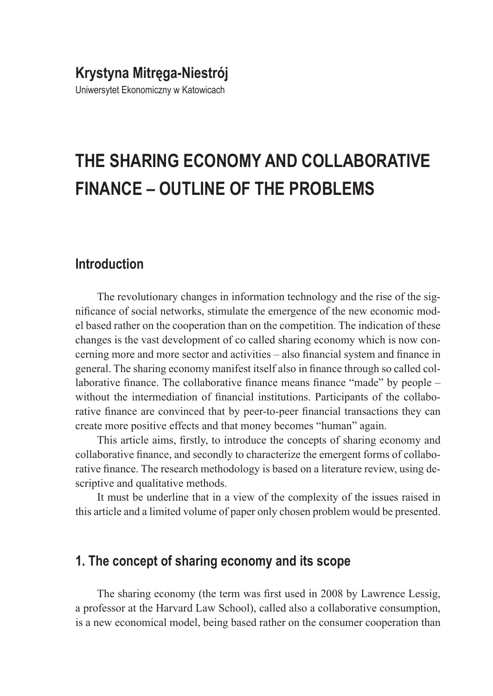## **Krystyna Mitręga-Niestrój**

Uniwersytet Ekonomiczny w Katowicach

# **THE SHARING ECONOMY AND COLLABORATIVE FINANCE – OUTLINE OF THE PROBLEMS**

#### **Introduction**

The revolutionary changes in information technology and the rise of the significance of social networks, stimulate the emergence of the new economic model based rather on the cooperation than on the competition. The indication of these changes is the vast development of co called sharing economy which is now concerning more and more sector and activities – also financial system and finance in general. The sharing economy manifest itself also in finance through so called collaborative finance. The collaborative finance means finance "made" by people – without the intermediation of financial institutions. Participants of the collaborative finance are convinced that by peer-to-peer financial transactions they can create more positive effects and that money becomes "human" again.

This article aims, firstly, to introduce the concepts of sharing economy and collaborative finance, and secondly to characterize the emergent forms of collaborative finance. The research methodology is based on a literature review, using descriptive and qualitative methods.

It must be underline that in a view of the complexity of the issues raised in this article and a limited volume of paper only chosen problem would be presented.

#### **1. The concept of sharing economy and its scope**

The sharing economy (the term was first used in 2008 by Lawrence Lessig, a professor at the Harvard Law School), called also a collaborative consumption, is a new economical model, being based rather on the consumer cooperation than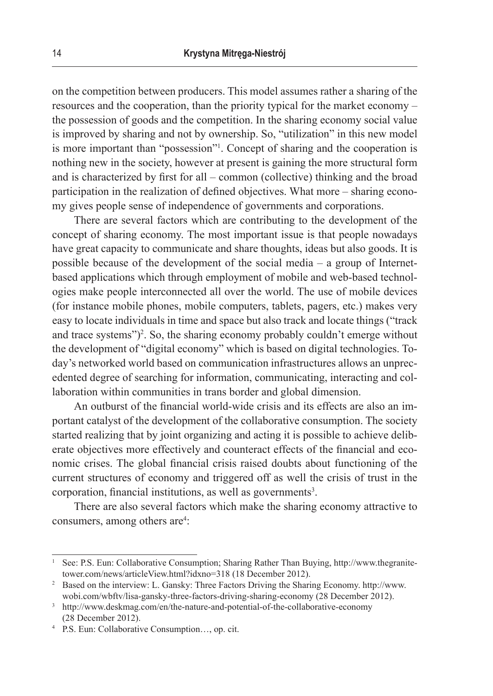on the competition between producers. This model assumes rather a sharing of the resources and the cooperation, than the priority typical for the market economy – the possession of goods and the competition. In the sharing economy social value is improved by sharing and not by ownership. So, "utilization" in this new model is more important than "possession"<sup>1</sup> . Concept of sharing and the cooperation is nothing new in the society, however at present is gaining the more structural form and is characterized by first for all – common (collective) thinking and the broad participation in the realization of defined objectives. What more – sharing economy gives people sense of independence of governments and corporations.

There are several factors which are contributing to the development of the concept of sharing economy. The most important issue is that people nowadays have great capacity to communicate and share thoughts, ideas but also goods. It is possible because of the development of the social media – a group of Internetbased applications which through employment of mobile and web-based technologies make people interconnected all over the world. The use of mobile devices (for instance mobile phones, mobile computers, tablets, pagers, etc.) makes very easy to locate individuals in time and space but also track and locate things ("track and trace systems")<sup>2</sup>. So, the sharing economy probably couldn't emerge without the development of "digital economy" which is based on digital technologies. Today's networked world based on communication infrastructures allows an unprecedented degree of searching for information, communicating, interacting and collaboration within communities in trans border and global dimension.

An outburst of the financial world-wide crisis and its effects are also an important catalyst of the development of the collaborative consumption. The society started realizing that by joint organizing and acting it is possible to achieve deliberate objectives more effectively and counteract effects of the financial and economic crises. The global financial crisis raised doubts about functioning of the current structures of economy and triggered off as well the crisis of trust in the corporation, financial institutions, as well as governments<sup>3</sup>.

There are also several factors which make the sharing economy attractive to consumers, among others are<sup>4</sup>:

<sup>1</sup> See: P.S. Eun: Collaborative Consumption; Sharing Rather Than Buying, http://www.thegranitetower.com/news/articleView.html?idxno=318 (18 December 2012).

<sup>2</sup> Based on the interview: L. Gansky: Three Factors Driving the Sharing Economy. http://www. wobi.com/wbftv/lisa-gansky-three-factors-driving-sharing-economy (28 December 2012).

<sup>&</sup>lt;sup>3</sup> http://www.deskmag.com/en/the-nature-and-potential-of-the-collaborative-economy (28 December 2012).

<sup>4</sup> P.S. Eun: Collaborative Consumption…, op. cit.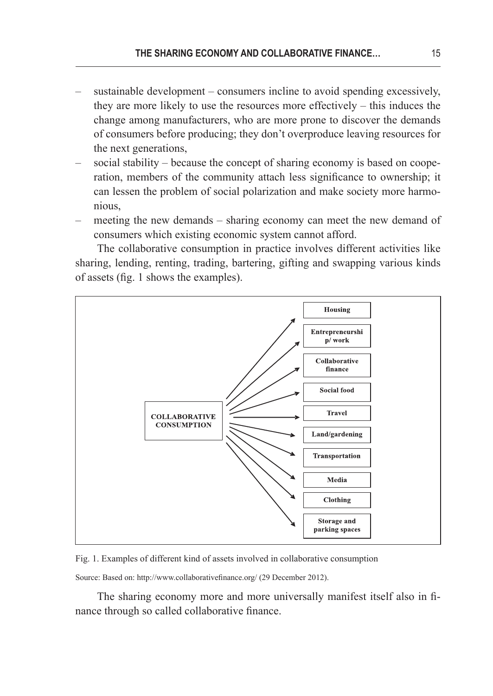- sustainable development consumers incline to avoid spending excessively, they are more likely to use the resources more effectively – this induces the change among manufacturers, who are more prone to discover the demands of consumers before producing; they don't overproduce leaving resources for the next generations,
- social stability because the concept of sharing economy is based on cooperation, members of the community attach less significance to ownership; it can lessen the problem of social polarization and make society more harmonious,
- meeting the new demands sharing economy can meet the new demand of consumers which existing economic system cannot afford.

The collaborative consumption in practice involves different activities like sharing, lending, renting, trading, bartering, gifting and swapping various kinds of assets (fig. 1 shows the examples).



Fig. 1. Examples of different kind of assets involved in collaborative consumption

Source: Based on: http://www.collaborativefinance.org/ (29 December 2012).

The sharing economy more and more universally manifest itself also in finance through so called collaborative finance.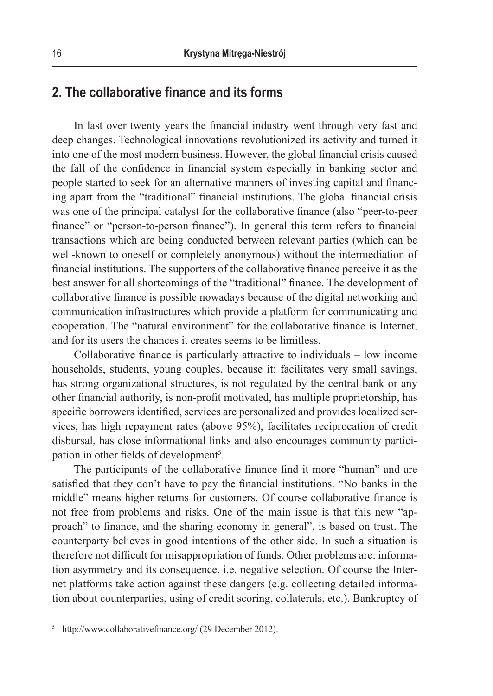#### **2. The collaborative finance and its forms**

In last over twenty years the financial industry went through very fast and deep changes. Technological innovations revolutionized its activity and turned it into one of the most modern business. However, the global financial crisis caused the fall of the confidence in financial system especially in banking sector and people started to seek for an alternative manners of investing capital and financing apart from the "traditional" financial institutions. The global financial crisis was one of the principal catalyst for the collaborative finance (also "peer-to-peer finance" or "person-to-person finance"). In general this term refers to financial transactions which are being conducted between relevant parties (which can be well-known to oneself or completely anonymous) without the intermediation of financial institutions. The supporters of the collaborative finance perceive it as the best answer for all shortcomings of the "traditional" finance. The development of collaborative finance is possible nowadays because of the digital networking and communication infrastructures which provide a platform for communicating and cooperation. The "natural environment" for the collaborative finance is Internet, and for its users the chances it creates seems to be limitless.

Collaborative finance is particularly attractive to individuals – low income households, students, young couples, because it: facilitates very small savings, has strong organizational structures, is not regulated by the central bank or any other financial authority, is non-profit motivated, has multiple proprietorship, has specific borrowers identified, services are personalized and provides localized services, has high repayment rates (above 95%), facilitates reciprocation of credit disbursal, has close informational links and also encourages community participation in other fields of development<sup>5</sup>.

The participants of the collaborative finance find it more "human" and are satisfied that they don't have to pay the financial institutions. "No banks in the middle" means higher returns for customers. Of course collaborative finance is not free from problems and risks. One of the main issue is that this new "approach" to finance, and the sharing economy in general", is based on trust. The counterparty believes in good intentions of the other side. In such a situation is therefore not difficult for misappropriation of funds. Other problems are: information asymmetry and its consequence, i.e. negative selection. Of course the Internet platforms take action against these dangers (e.g. collecting detailed information about counterparties, using of credit scoring, collaterals, etc.). Bankruptcy of

http://www.collaborativefinance.org/ (29 December 2012).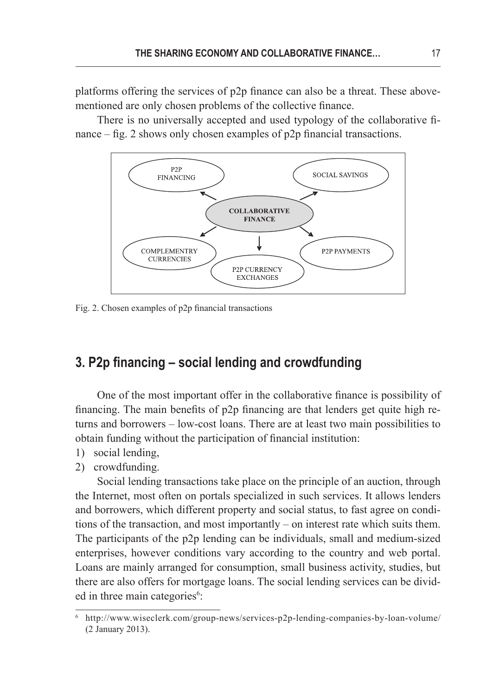platforms offering the services of p2p finance can also be a threat. These abovementioned are only chosen problems of the collective finance.

There is no universally accepted and used typology of the collaborative finance – fig. 2 shows only chosen examples of p2p financial transactions.



Fig. 2. Chosen examples of p2p financial transactions

#### **3. P2p financing – social lending and crowdfunding**

One of the most important offer in the collaborative finance is possibility of financing. The main benefits of p2p financing are that lenders get quite high returns and borrowers – low-cost loans. There are at least two main possibilities to obtain funding without the participation of financial institution:

- 1) social lending,
- 2) crowdfunding.

Social lending transactions take place on the principle of an auction, through the Internet, most often on portals specialized in such services. It allows lenders and borrowers, which different property and social status, to fast agree on conditions of the transaction, and most importantly – on interest rate which suits them. The participants of the p2p lending can be individuals, small and medium-sized enterprises, however conditions vary according to the country and web portal. Loans are mainly arranged for consumption, small business activity, studies, but there are also offers for mortgage loans. The social lending services can be divided in three main categories<sup>6</sup>:

<sup>6</sup> http://www.wiseclerk.com/group-news/services-p2p-lending-companies-by-loan-volume/ (2 January 2013).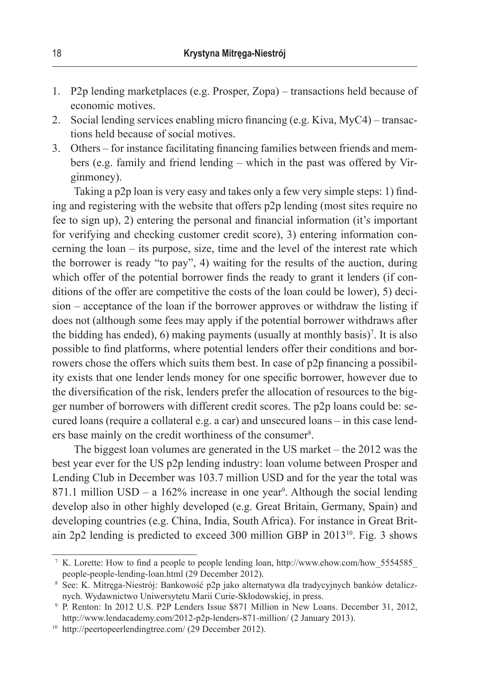- 1. P2p lending marketplaces (e.g. Prosper, Zopa) transactions held because of economic motives.
- 2. Social lending services enabling micro financing (e.g. Kiva, MyC4) transactions held because of social motives.
- 3. Others for instance facilitating financing families between friends and members (e.g. family and friend lending – which in the past was offered by Virginmoney).

Taking a p2p loan is very easy and takes only a few very simple steps: 1) finding and registering with the website that offers p2p lending (most sites require no fee to sign up), 2) entering the personal and financial information (it's important for verifying and checking customer credit score), 3) entering information concerning the loan – its purpose, size, time and the level of the interest rate which the borrower is ready "to pay", 4) waiting for the results of the auction, during which offer of the potential borrower finds the ready to grant it lenders (if conditions of the offer are competitive the costs of the loan could be lower), 5) decision – acceptance of the loan if the borrower approves or withdraw the listing if does not (although some fees may apply if the potential borrower withdraws after the bidding has ended), 6) making payments (usually at monthly basis)<sup>7</sup>. It is also possible to find platforms, where potential lenders offer their conditions and borrowers chose the offers which suits them best. In case of p2p financing a possibility exists that one lender lends money for one specific borrower, however due to the diversification of the risk, lenders prefer the allocation of resources to the bigger number of borrowers with different credit scores. The p2p loans could be: secured loans (require a collateral e.g. a car) and unsecured loans – in this case lenders base mainly on the credit worthiness of the consumer<sup>8</sup>.

The biggest loan volumes are generated in the US market – the 2012 was the best year ever for the US p2p lending industry: loan volume between Prosper and Lending Club in December was 103.7 million USD and for the year the total was  $871.1$  million USD – a  $162\%$  increase in one year<sup>9</sup>. Although the social lending develop also in other highly developed (e.g. Great Britain, Germany, Spain) and developing countries (e.g. China, India, South Africa). For instance in Great Britain 2p2 lending is predicted to exceed 300 million GBP in 2013<sup>10</sup>. Fig. 3 shows

<sup>7</sup> K. Lorette: How to find a people to people lending loan, http://www.ehow.com/how\_5554585\_ people-people-lending-loan.html (29 December 2012).

<sup>8</sup> See: K. Mitręga-Niestrój: Bankowość p2p jako alternatywa dla tradycyjnych banków detalicznych. Wydawnictwo Uniwersytetu Marii Curie-Skłodowskiej, in press.

<sup>9</sup> P. Renton: In 2012 U.S. P2P Lenders Issue \$871 Million in New Loans. December 31, 2012, http://www.lendacademy.com/2012-p2p-lenders-871-million/ (2 January 2013).

<sup>10</sup> http://peertopeerlendingtree.com/ (29 December 2012).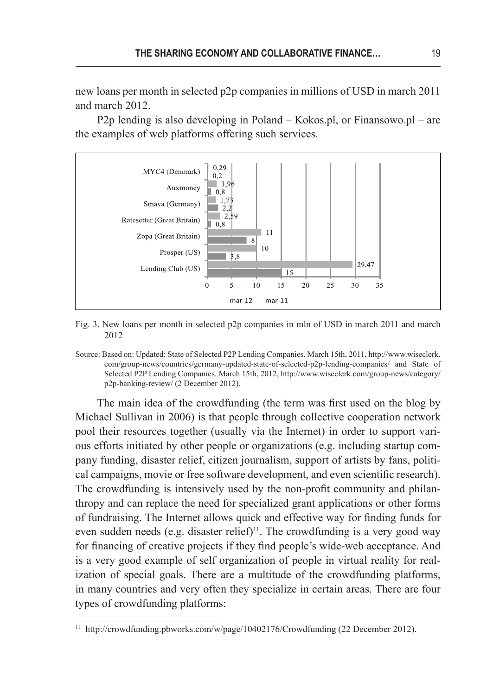new loans per month in selected p2p companies in millions of USD in march 2011 and march 2012.

P2p lending is also developing in Poland – Kokos.pl, or Finansowo.pl – are the examples of web platforms offering such services.



Fig. 3. New loans per month in selected p2p companies in mln of USD in march 2011 and march 2012

Source: Based on: Updated: State of Selected P2P Lending Companies. March 15th, 2011, http://www.wiseclerk. com/group-news/countries/germany-updated-state-of-selected-p2p-lending-companies/ and State of Selected P2P Lending Companies. March 15th, 2012, http://www.wiseclerk.com/group-news/category/ p2p-banking-review/ (2 December 2012).

The main idea of the crowdfunding (the term was first used on the blog by Michael Sullivan in 2006) is that people through collective cooperation network pool their resources together (usually via the Internet) in order to support various efforts initiated by other people or organizations (e.g. including startup company funding, disaster relief, citizen journalism, support of artists by fans, political campaigns, movie or free software development, and even scientific research). The crowdfunding is intensively used by the non-profit community and philanthropy and can replace the need for specialized grant applications or other forms of fundraising. The Internet allows quick and effective way for finding funds for even sudden needs (e.g. disaster relief)<sup>11</sup>. The crowdfunding is a very good way for financing of creative projects if they find people's wide-web acceptance. And is a very good example of self organization of people in virtual reality for realization of special goals. There are a multitude of the crowdfunding platforms, in many countries and very often they specialize in certain areas. There are four types of crowdfunding platforms:

http://crowdfunding.pbworks.com/w/page/10402176/Crowdfunding (22 December 2012).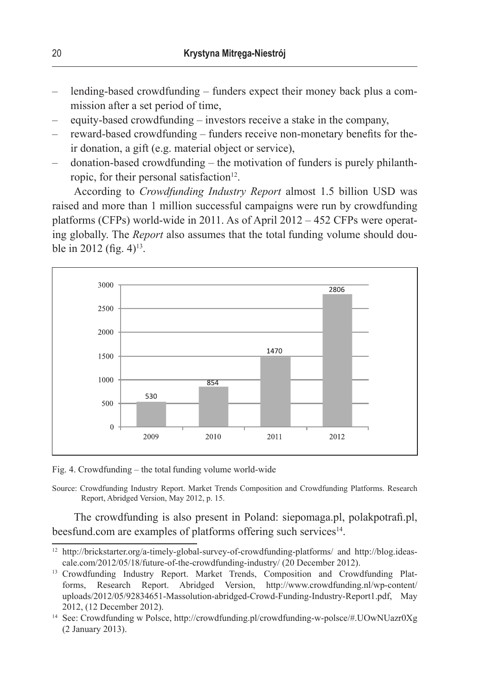- lending-based crowdfunding funders expect their money back plus a commission after a set period of time,
- equity-based crowdfunding investors receive a stake in the company,
- reward-based crowdfunding funders receive non-monetary benefits for their donation, a gift (e.g. material object or service),
- donation-based crowdfunding the motivation of funders is purely philanthropic, for their personal satisfaction<sup>12</sup>.

According to *Crowdfunding Industry Report* almost 1.5 billion USD was raised and more than 1 million successful campaigns were run by crowdfunding platforms (CFPs) world-wide in 2011. As of April 2012 – 452 CFPs were operating globally. The *Report* also assumes that the total funding volume should double in 2012 (fig.  $4$ )<sup>13</sup>.



Fig. 4. Crowdfunding – the total funding volume world-wide

Source: Crowdfunding Industry Report. Market Trends Composition and Crowdfunding Platforms. Research Report, Abridged Version, May 2012, p. 15.

The crowdfunding is also present in Poland: siepomaga.pl, polakpotrafi.pl, beesfund.com are examples of platforms offering such services $14$ .

<sup>12</sup> http://brickstarter.org/a-timely-global-survey-of-crowdfunding-platforms/ and http://blog.ideascale.com/2012/05/18/future-of-the-crowdfunding-industry/ (20 December 2012).

<sup>&</sup>lt;sup>13</sup> Crowdfunding Industry Report. Market Trends, Composition and Crowdfunding Platforms, Research Report. Abridged Version, http://www.crowdfunding.nl/wp-content/ uploads/2012/05/92834651-Massolution-abridged-Crowd-Funding-Industry-Report1.pdf, May 2012, (12 December 2012).

<sup>14</sup> See: Crowdfunding w Polsce, http://crowdfunding.pl/crowdfunding-w-polsce/#.UOwNUazr0Xg (2 January 2013).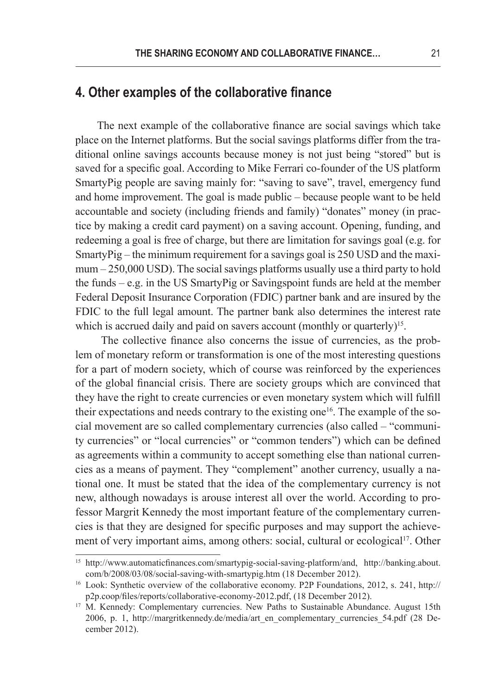#### **4. Other examples of the collaborative finance**

The next example of the collaborative finance are social savings which take place on the Internet platforms. But the social savings platforms differ from the traditional online savings accounts because money is not just being "stored" but is saved for a specific goal. According to Mike Ferrari co-founder of the US platform SmartyPig people are saving mainly for: "saving to save", travel, emergency fund and home improvement. The goal is made public – because people want to be held accountable and society (including friends and family) "donates" money (in practice by making a credit card payment) on a saving account. Opening, funding, and redeeming a goal is free of charge, but there are limitation for savings goal (e.g. for SmartyPig – the minimum requirement for a savings goal is 250 USD and the maximum – 250,000 USD). The social savings platforms usually use a third party to hold the funds – e.g. in the US SmartyPig or Savingspoint funds are held at the member Federal Deposit Insurance Corporation (FDIC) partner bank and are insured by the FDIC to the full legal amount. The partner bank also determines the interest rate which is accrued daily and paid on savers account (monthly or quarterly)<sup>15</sup>.

 The collective finance also concerns the issue of currencies, as the problem of monetary reform or transformation is one of the most interesting questions for a part of modern society, which of course was reinforced by the experiences of the global financial crisis. There are society groups which are convinced that they have the right to create currencies or even monetary system which will fulfill their expectations and needs contrary to the existing one<sup>16</sup>. The example of the social movement are so called complementary currencies (also called – "community currencies" or "local currencies" or "common tenders") which can be defined as agreements within a community to accept something else than national currencies as a means of payment. They "complement" another currency, usually a national one. It must be stated that the idea of the complementary currency is not new, although nowadays is arouse interest all over the world. According to professor Margrit Kennedy the most important feature of the complementary currencies is that they are designed for specific purposes and may support the achievement of very important aims, among others: social, cultural or ecological<sup>17</sup>. Other

<sup>15</sup> http://www.automaticfinances.com/smartypig-social-saving-platform/and, http://banking.about. com/b/2008/03/08/social-saving-with-smartypig.htm (18 December 2012).

<sup>16</sup> Look: Synthetic overview of the collaborative economy. P2P Foundations, 2012, s. 241, http:// p2p.coop/files/reports/collaborative-economy-2012.pdf, (18 December 2012).

<sup>&</sup>lt;sup>17</sup> M. Kennedy: Complementary currencies. New Paths to Sustainable Abundance. August 15th 2006, p. 1, http://margritkennedy.de/media/art\_en\_complementary\_currencies\_54.pdf (28 December 2012).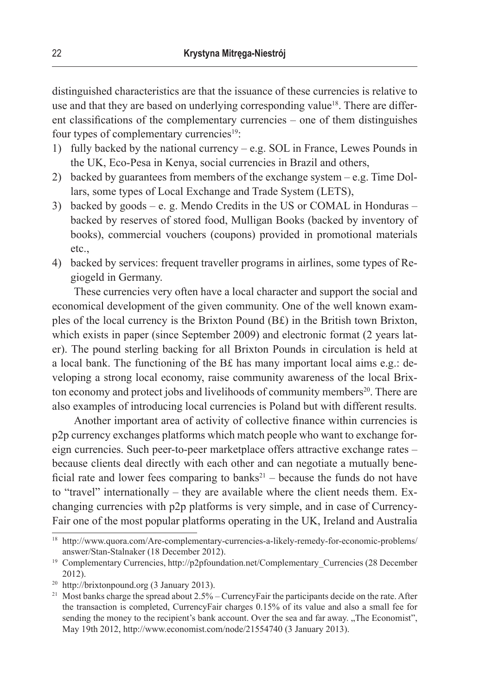distinguished characteristics are that the issuance of these currencies is relative to use and that they are based on underlying corresponding value<sup>18</sup>. There are different classifications of the complementary currencies – one of them distinguishes four types of complementary currencies<sup>19</sup>:

- 1) fully backed by the national currency e.g. SOL in France, Lewes Pounds in the UK, Eco-Pesa in Kenya, social currencies in Brazil and others,
- 2) backed by guarantees from members of the exchange system e.g. Time Dollars, some types of Local Exchange and Trade System (LETS),
- 3) backed by goods e. g. Mendo Credits in the US or COMAL in Honduras backed by reserves of stored food, Mulligan Books (backed by inventory of books), commercial vouchers (coupons) provided in promotional materials etc.,
- 4) backed by services: frequent traveller programs in airlines, some types of Regiogeld in Germany.

These currencies very often have a local character and support the social and economical development of the given community. One of the well known examples of the local currency is the Brixton Pound (B£) in the British town Brixton, which exists in paper (since September 2009) and electronic format (2 years later). The pound sterling backing for all Brixton Pounds in circulation is held at a local bank. The functioning of the B£ has many important local aims e.g.: developing a strong local economy, raise community awareness of the local Brixton economy and protect jobs and livelihoods of community members<sup>20</sup>. There are also examples of introducing local currencies is Poland but with different results.

Another important area of activity of collective finance within currencies is p2p currency exchanges platforms which match people who want to exchange foreign currencies. Such peer-to-peer marketplace offers attractive exchange rates – because clients deal directly with each other and can negotiate a mutually beneficial rate and lower fees comparing to banks<sup>21</sup> – because the funds do not have to "travel" internationally – they are available where the client needs them. Exchanging currencies with p2p platforms is very simple, and in case of Currency-Fair one of the most popular platforms operating in the UK, Ireland and Australia

<sup>18</sup> http://www.quora.com/Are-complementary-currencies-a-likely-remedy-for-economic-problems/ answer/Stan-Stalnaker (18 December 2012).

<sup>&</sup>lt;sup>19</sup> Complementary Currencies, http://p2pfoundation.net/Complementary\_Currencies (28 December 2012).

<sup>20</sup> http://brixtonpound.org (3 January 2013).

<sup>&</sup>lt;sup>21</sup> Most banks charge the spread about 2.5% – CurrencyFair the participants decide on the rate. After the transaction is completed, CurrencyFair charges 0.15% of its value and also a small fee for sending the money to the recipient's bank account. Over the sea and far away. "The Economist", May 19th 2012, http://www.economist.com/node/21554740 (3 January 2013).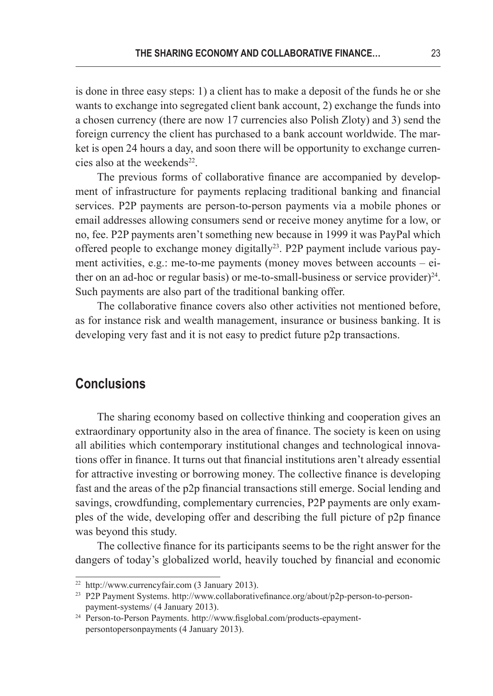is done in three easy steps: 1) a client has to make a deposit of the funds he or she wants to exchange into segregated client bank account, 2) exchange the funds into a chosen currency (there are now 17 currencies also Polish Zloty) and 3) send the foreign currency the client has purchased to a bank account worldwide. The market is open 24 hours a day, and soon there will be opportunity to exchange currencies also at the weekends $22$ .

The previous forms of collaborative finance are accompanied by development of infrastructure for payments replacing traditional banking and financial services. P2P payments are person-to-person payments via a mobile phones or email addresses allowing consumers send or receive money anytime for a low, or no, fee. P2P payments aren't something new because in 1999 it was PayPal which offered people to exchange money digitally<sup>23</sup>. P2P payment include various payment activities, e.g.: me-to-me payments (money moves between accounts – either on an ad-hoc or regular basis) or me-to-small-business or service provider) $^{24}$ . Such payments are also part of the traditional banking offer.

The collaborative finance covers also other activities not mentioned before, as for instance risk and wealth management, insurance or business banking. It is developing very fast and it is not easy to predict future p2p transactions.

#### **Conclusions**

The sharing economy based on collective thinking and cooperation gives an extraordinary opportunity also in the area of finance. The society is keen on using all abilities which contemporary institutional changes and technological innovations offer in finance. It turns out that financial institutions aren't already essential for attractive investing or borrowing money. The collective finance is developing fast and the areas of the p2p financial transactions still emerge. Social lending and savings, crowdfunding, complementary currencies, P2P payments are only examples of the wide, developing offer and describing the full picture of p2p finance was beyond this study.

The collective finance for its participants seems to be the right answer for the dangers of today's globalized world, heavily touched by financial and economic

<sup>22</sup> http://www.currencyfair.com (3 January 2013).

<sup>23</sup> P2P Payment Systems. http://www.collaborativefinance.org/about/p2p-person-to-personpayment-systems/ (4 January 2013).

<sup>24</sup> Person-to-Person Payments. http://www.fisglobal.com/products-epaymentpersontopersonpayments (4 January 2013).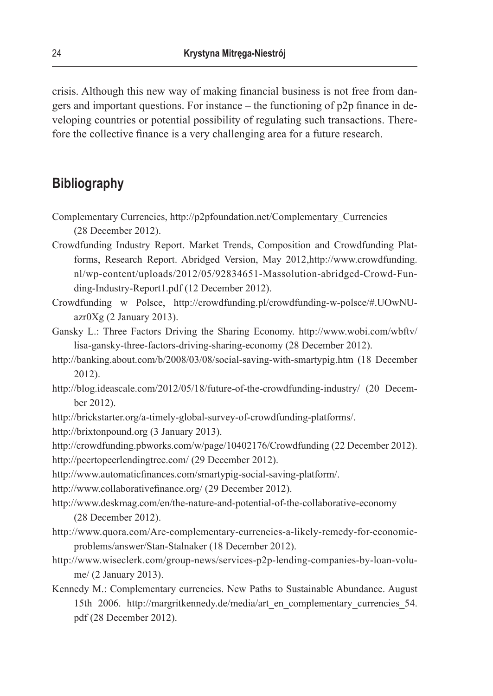crisis. Although this new way of making financial business is not free from dangers and important questions. For instance – the functioning of p2p finance in developing countries or potential possibility of regulating such transactions. Therefore the collective finance is a very challenging area for a future research.

### **Bibliography**

- Complementary Currencies, http://p2pfoundation.net/Complementary\_Currencies (28 December 2012).
- Crowdfunding Industry Report. Market Trends, Composition and Crowdfunding Platforms, Research Report. Abridged Version, May 2012,http://www.crowdfunding. nl/wp-content/uploads/2012/05/92834651-Massolution-abridged-Crowd-Funding-Industry-Report1.pdf (12 December 2012).
- Crowdfunding w Polsce, http://crowdfunding.pl/crowdfunding-w-polsce/#.UOwNU $a$ zr $0Xg(2)$  January 2013).
- Gansky L.: Three Factors Driving the Sharing Economy. http://www.wobi.com/wbftv/ lisa-gansky-three-factors-driving-sharing-economy (28 December 2012).
- http://banking.about.com/b/2008/03/08/social-saving-with-smartypig.htm (18 December 2012).
- http://blog.ideascale.com/2012/05/18/future-of-the-crowdfunding-industry/ (20 December 2012).
- http://brickstarter.org/a-timely-global-survey-of-crowdfunding-platforms/.
- http://brixtonpound.org (3 January 2013).

http://crowdfunding.pbworks.com/w/page/10402176/Crowdfunding (22 December 2012).

http://peertopeerlendingtree.com/ (29 December 2012).

- http://www.automaticfinances.com/smartypig-social-saving-platform/.
- http://www.collaborativefinance.org/ (29 December 2012).
- http://www.deskmag.com/en/the-nature-and-potential-of-the-collaborative-economy (28 December 2012).
- http://www.quora.com/Are-complementary-currencies-a-likely-remedy-for-economicproblems/answer/Stan-Stalnaker (18 December 2012).
- http://www.wiseclerk.com/group-news/services-p2p-lending-companies-by-loan-volume/ (2 January 2013).
- Kennedy M.: Complementary currencies. New Paths to Sustainable Abundance. August 15th 2006. http://margritkennedy.de/media/art\_en\_complementary\_currencies\_54. pdf (28 December 2012).